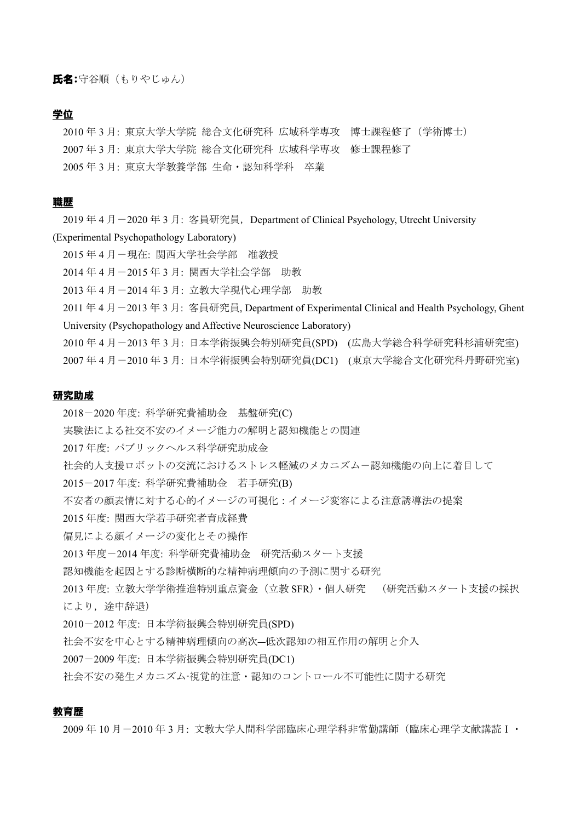# 学位

2010 年 3 月: 東京大学大学院 総合文化研究科 広域科学専攻 博士課程修了(学術博士) 2007 年 3 月: 東京大学大学院 総合文化研究科 広域科学専攻 修士課程修了 2005 年 3 月: 東京大学教養学部 生命・認知科学科 卒業

# 職歴

2019 年 4 月-2020 年 3 月: 客員研究員, Department of Clinical Psychology, Utrecht University (Experimental Psychopathology Laboratory)

- 2015 年 4 月-現在: 関西大学社会学部 准教授
- 2014 年 4 月-2015 年 3 月: 関西大学社会学部 助教
- 2013 年 4 月-2014 年 3 月: 立教大学現代心理学部 助教

2011年4月-2013年3月: 客員研究員, Department of Experimental Clinical and Health Psychology, Ghent University (Psychopathology and Affective Neuroscience Laboratory)

2010 年 4 月-2013 年 3 月: 日本学術振興会特別研究員(SPD) (広島大学総合科学研究科杉浦研究室)

2007 年 4 月-2010 年 3 月: 日本学術振興会特別研究員(DC1) (東京大学総合文化研究科丹野研究室)

#### 研究助成

2018-2020 年度: 科学研究費補助金 基盤研究(C) 実験法による社交不安のイメージ能力の解明と認知機能との関連 2017 年度: パブリックヘルス科学研究助成金 社会的人支援ロボットの交流におけるストレス軽減のメカニズム-認知機能の向上に着目して 2015-2017 年度: 科学研究費補助金 若手研究(B) 不安者の顔表情に対する心的イメージの可視化:イメージ変容による注意誘導法の提案 2015 年度: 関西大学若手研究者育成経費 偏見による顔イメージの変化とその操作 2013 年度-2014 年度: 科学研究費補助金 研究活動スタート支援 認知機能を起因とする診断横断的な精神病理傾向の予測に関する研究 2013 年度: 立教大学学術推進特別重点資金(立教 SFR)・個人研究 (研究活動スタート支援の採択 により,途中辞退) 2010-2012 年度: 日本学術振興会特別研究員(SPD) 社会不安を中心とする精神病理傾向の高次―低次認知の相互作用の解明と介入 2007-2009 年度: 日本学術振興会特別研究員(DC1)

社会不安の発生メカニズム-視覚的注意・認知のコントロール不可能性に関する研究

# 教育歴

2009 年 10 月-2010 年 3 月: 文教大学人間科学部臨床心理学科非常勤講師(臨床心理学文献講読Ⅰ・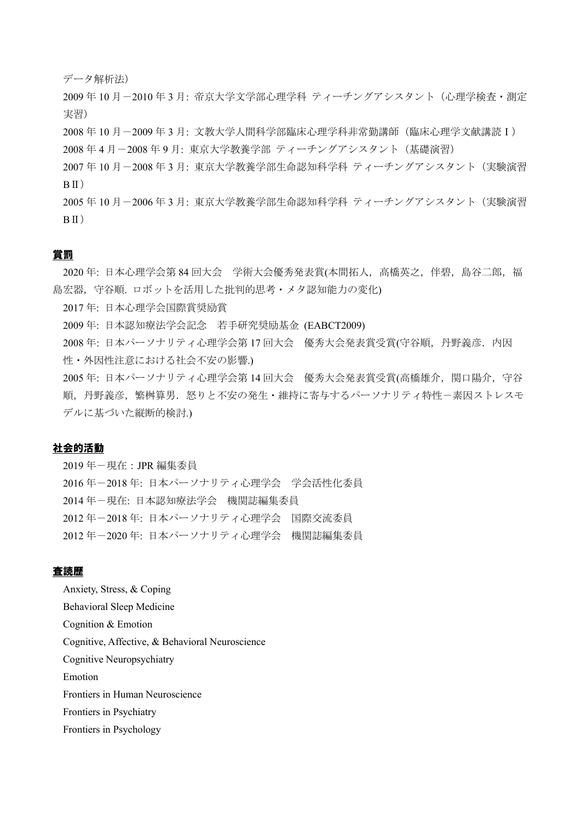データ解析法)

2009 年 10 月-2010 年 3 月: 帝京大学文学部心理学科 ティーチングアシスタント(心理学検査・測定 実習)

2008 年 10 月-2009 年 3 月: 文教大学人間科学部臨床心理学科非常勤講師(臨床心理学文献講読Ⅰ) 2008 年 4 月-2008 年 9 月: 東京大学教養学部 ティーチングアシスタント(基礎演習)

2007 年 10 月-2008 年 3 月: 東京大学教養学部生命認知科学科 ティーチングアシスタント(実験演習  $R \Pi$ )

2005 年 10 月-2006 年 3 月: 東京大学教養学部生命認知科学科 ティーチングアシスタント(実験演習  $B<sub>II</sub>$ )

## 賞罰

2020年: 日本心理学会第 84 回大会 学術大会優秀発表賞(本間拓人, 高橋英之, 伴碧, 島谷二郎, 福 島宏器, 守谷順. ロボットを活用した批判的思考·メタ認知能力の変化)

2017 年: 日本心理学会国際賞奨励賞

2009 年: 日本認知療法学会記念 若手研究奨励基金 (EABCT2009)

2008年: 日本パーソナリティ心理学会第17回大会 優秀大会発表賞受賞(守谷順, 丹野義彦. 内因 性・外因性注意における社会不安の影響.)

2005 年: 日本パーソナリティ心理学会第 14 回大会 優秀大会発表賞受賞(高橋雄介, 関口陽介, 守谷 順,丹野義彦,繁桝算男.怒りと不安の発生・維持に寄与するパーソナリティ特性-素因ストレスモ デルに基づいた縦断的検討.)

# 社会的活動

 年-現在:JPR 編集委員 年-2018 年: 日本パーソナリティ心理学会 学会活性化委員 年-現在: 日本認知療法学会 機関誌編集委員 年-2018 年: 日本パーソナリティ心理学会 国際交流委員 年-2020 年: 日本パーソナリティ心理学会 機関誌編集委員

# 査読歴

Anxiety, Stress, & Coping Behavioral Sleep Medicine Cognition & Emotion Cognitive, Affective, & Behavioral Neuroscience Cognitive Neuropsychiatry Emotion Frontiers in Human Neuroscience Frontiers in Psychiatry Frontiers in Psychology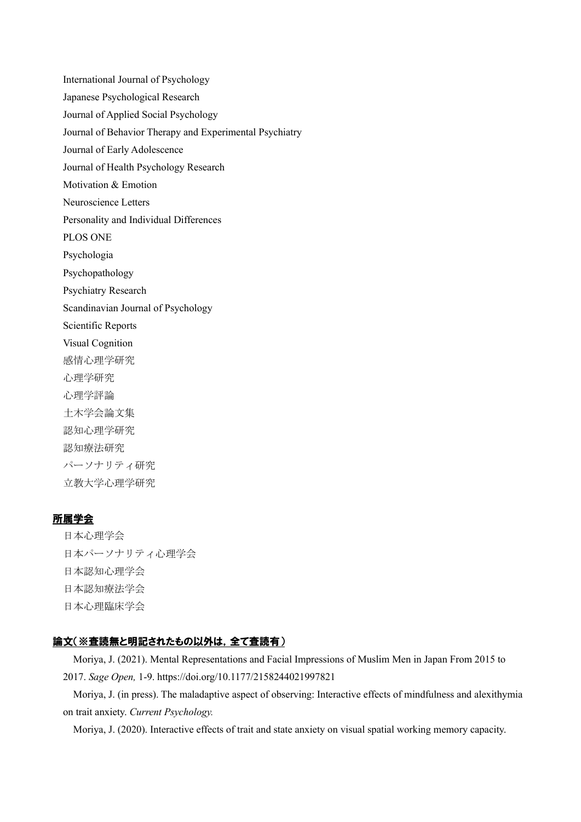International Journal of Psychology Japanese Psychological Research Journal of Applied Social Psychology Journal of Behavior Therapy and Experimental Psychiatry Journal of Early Adolescence Journal of Health Psychology Research Motivation & Emotion Neuroscience Letters Personality and Individual Differences PLOS ONE Psychologia Psychopathology Psychiatry Research Scandinavian Journal of Psychology Scientific Reports Visual Cognition 感情心理学研究 心理学研究 心理学評論 土木学会論文集 認知心理学研究 認知療法研究 パーソナリティ研究 立教大学心理学研究

# 所属学会

日本心理学会 日本パーソナリティ心理学会 日本認知心理学会 日本認知療法学会 日本心理臨床学会

# 論文(※査読無と明記されたもの以外は,全て査読有)

Moriya, J. (2021). Mental Representations and Facial Impressions of Muslim Men in Japan From 2015 to 2017. *Sage Open,* 1-9. https://doi.org/10.1177/2158244021997821

Moriya, J. (in press). The maladaptive aspect of observing: Interactive effects of mindfulness and alexithymia on trait anxiety. *Current Psychology.*

Moriya, J. (2020). Interactive effects of trait and state anxiety on visual spatial working memory capacity.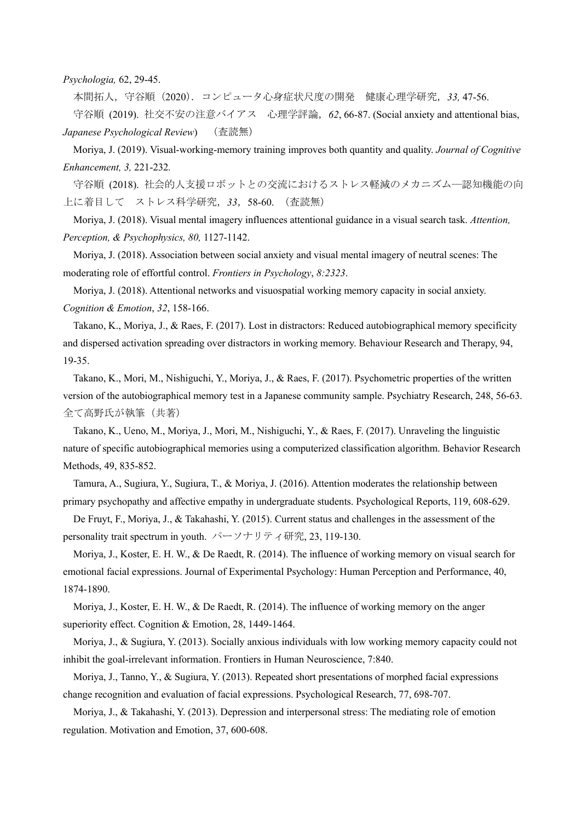*Psychologia,* 62, 29-45.

本間拓人,守谷順(2020).コンピュータ心身症状尺度の開発 健康心理学研究,*33,* 47-56.

守谷順 (2019). 社交不安の注意バイアス 心理学評論,*62*, 66-87. (Social anxiety and attentional bias, *Japanese Psychological Review*) (査読無)

Moriya, J. (2019). Visual-working-memory training improves both quantity and quality. *Journal of Cognitive Enhancement, 3,* 221-232*.*

守谷順 (2018). 社会的人支援ロボットとの交流におけるストレス軽減のメカニズム―認知機能の向 上に着目して ストレス科学研究,*33*,58-60. (査読無)

Moriya, J. (2018). Visual mental imagery influences attentional guidance in a visual search task. *Attention, Perception, & Psychophysics, 80,* 1127-1142.

Moriya, J. (2018). Association between social anxiety and visual mental imagery of neutral scenes: The moderating role of effortful control. *Frontiers in Psychology*, *8:2323*.

Moriya, J. (2018). Attentional networks and visuospatial working memory capacity in social anxiety. *Cognition & Emotion*, *32*, 158-166.

Takano, K., Moriya, J., & Raes, F. (2017). Lost in distractors: Reduced autobiographical memory specificity and dispersed activation spreading over distractors in working memory. Behaviour Research and Therapy, 94, 19-35.

Takano, K., Mori, M., Nishiguchi, Y., Moriya, J., & Raes, F. (2017). Psychometric properties of the written version of the autobiographical memory test in a Japanese community sample. Psychiatry Research, 248, 56-63. 全て高野氏が執筆(共著)

Takano, K., Ueno, M., Moriya, J., Mori, M., Nishiguchi, Y., & Raes, F. (2017). Unraveling the linguistic nature of specific autobiographical memories using a computerized classification algorithm. Behavior Research Methods, 49, 835-852.

Tamura, A., Sugiura, Y., Sugiura, T., & Moriya, J. (2016). Attention moderates the relationship between primary psychopathy and affective empathy in undergraduate students. Psychological Reports, 119, 608-629.

De Fruyt, F., Moriya, J., & Takahashi, Y. (2015). Current status and challenges in the assessment of the personality trait spectrum in youth. パーソナリティ研究, 23, 119-130.

Moriya, J., Koster, E. H. W., & De Raedt, R. (2014). The influence of working memory on visual search for emotional facial expressions. Journal of Experimental Psychology: Human Perception and Performance, 40, 1874-1890.

Moriya, J., Koster, E. H. W., & De Raedt, R. (2014). The influence of working memory on the anger superiority effect. Cognition & Emotion, 28, 1449-1464.

Moriya, J., & Sugiura, Y. (2013). Socially anxious individuals with low working memory capacity could not inhibit the goal-irrelevant information. Frontiers in Human Neuroscience, 7:840.

Moriya, J., Tanno, Y., & Sugiura, Y. (2013). Repeated short presentations of morphed facial expressions change recognition and evaluation of facial expressions. Psychological Research, 77, 698-707.

Moriya, J., & Takahashi, Y. (2013). Depression and interpersonal stress: The mediating role of emotion regulation. Motivation and Emotion, 37, 600-608.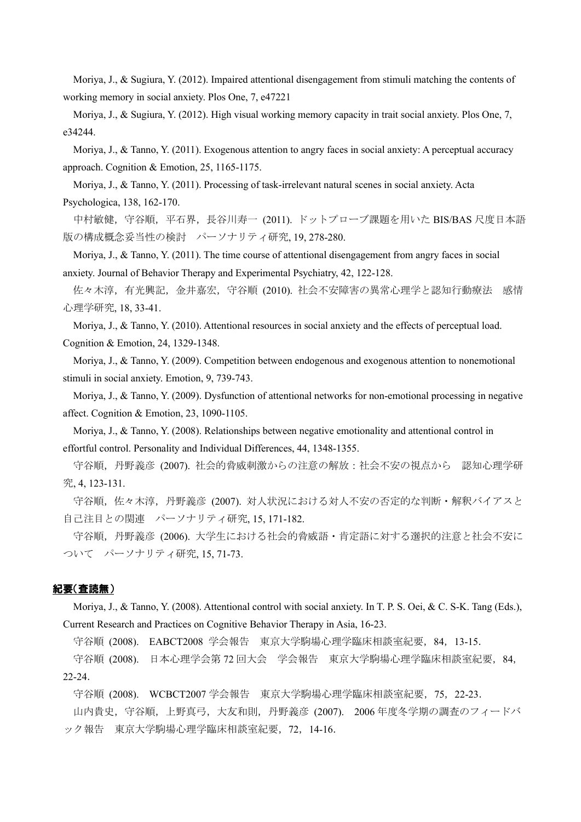Moriya, J., & Sugiura, Y. (2012). Impaired attentional disengagement from stimuli matching the contents of working memory in social anxiety. Plos One, 7, e47221

Moriya, J., & Sugiura, Y. (2012). High visual working memory capacity in trait social anxiety. Plos One, 7, e34244.

Moriya, J., & Tanno, Y. (2011). Exogenous attention to angry faces in social anxiety: A perceptual accuracy approach. Cognition & Emotion, 25, 1165-1175.

Moriya, J., & Tanno, Y. (2011). Processing of task-irrelevant natural scenes in social anxiety. Acta Psychologica, 138, 162-170.

中村敏健,守谷順,平石界,長谷川寿一 (2011). ドットプローブ課題を用いた BIS/BAS 尺度日本語 版の構成概念妥当性の検討 パーソナリティ研究, 19, 278-280.

Moriya, J., & Tanno, Y. (2011). The time course of attentional disengagement from angry faces in social anxiety. Journal of Behavior Therapy and Experimental Psychiatry, 42, 122-128.

佐々木淳,有光興記,金井嘉宏,守谷順 (2010). 社会不安障害の異常心理学と認知行動療法 感情 心理学研究, 18, 33-41.

Moriya, J., & Tanno, Y. (2010). Attentional resources in social anxiety and the effects of perceptual load.

Cognition & Emotion, 24, 1329-1348.

Moriya, J., & Tanno, Y. (2009). Competition between endogenous and exogenous attention to nonemotional stimuli in social anxiety. Emotion, 9, 739-743.

Moriya, J., & Tanno, Y. (2009). Dysfunction of attentional networks for non-emotional processing in negative affect. Cognition & Emotion, 23, 1090-1105.

Moriya, J., & Tanno, Y. (2008). Relationships between negative emotionality and attentional control in effortful control. Personality and Individual Differences, 44, 1348-1355.

守谷順,丹野義彦 (2007). 社会的脅威刺激からの注意の解放:社会不安の視点から 認知心理学研 究, 4, 123-131.

守谷順,佐々木淳,丹野義彦 (2007). 対人状況における対人不安の否定的な判断・解釈バイアスと 自己注目との関連 パーソナリティ研究, 15, 171-182.

守谷順,丹野義彦 (2006). 大学生における社会的脅威語・肯定語に対する選択的注意と社会不安に ついて パーソナリティ研究, 15, 71-73.

## 紀要(査読無)

Moriya, J., & Tanno, Y. (2008). Attentional control with social anxiety. In T. P. S. Oei, & C. S-K. Tang (Eds.), Current Research and Practices on Cognitive Behavior Therapy in Asia, 16-23.

守谷順 (2008). EABCT2008 学会報告 東京大学駒場心理学臨床相談室紀要,84,13-15.

守谷順 (2008). 日本心理学会第 72 回大会 学会報告 東京大学駒場心理学臨床相談室紀要,84, 22-24.

守谷順 (2008). WCBCT2007 学会報告 東京大学駒場心理学臨床相談室紀要,75,22-23. 山内貴史,守谷順,上野真弓,大友和則,丹野義彦 (2007). 2006 年度冬学期の調査のフィードバ ック報告 東京大学駒場心理学臨床相談室紀要,72,14-16.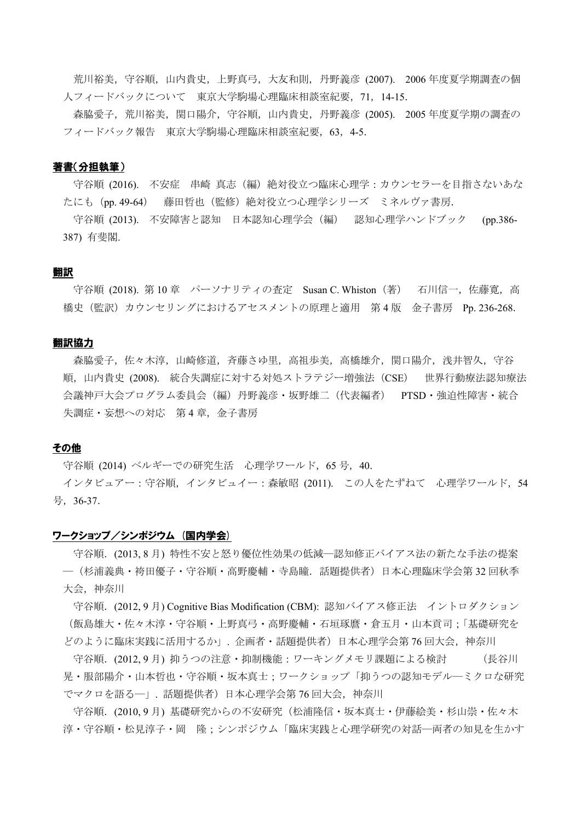荒川裕美,守谷順,山内貴史,上野真弓,大友和則,丹野義彦 (2007). 2006 年度夏学期調査の個 人フィードバックについて 東京大学駒場心理臨床相談室紀要,71,14-15.

森脇愛子,荒川裕美,関口陽介,守谷順,山内貴史,丹野義彦 (2005). 2005 年度夏学期の調査の フィードバック報告 東京大学駒場心理臨床相談室紀要,63,4-5.

### 著書(分担執筆)

守谷順(2016) 不安症 串崎 真志(編)絶対役立つ臨床心理学:カウンセラーを目指さないあな たにも(pp. 49-64) 藤田哲也(監修)絶対役立つ心理学シリーズ ミネルヴァ書房.

守谷順 (2013). 不安障害と認知 日本認知心理学会(編) 認知心理学ハンドブック (pp.386- 387) 有斐閣.

## 翻訳

守谷順 (2018). 第 10 章 パーソナリティの査定 Susan C. Whiston (著) 石川信一, 佐藤寛, 高 橋史(監訳)カウンセリングにおけるアセスメントの原理と適用 第 4 版 金子書房 Pp. 236-268.

### 翻訳協力

森脇愛子,佐々木淳,山崎修道,斉藤さゆ里,高祖歩美,高橋雄介,関口陽介,浅井智久,守谷 順,山内貴史 (2008). 統合失調症に対する対処ストラテジー増強法(CSE) 世界行動療法認知療法 会議神戸大会プログラム委員会(編)丹野義彦・坂野雄二(代表編者) PTSD・強迫性障害・統合 失調症·妄想への対応 第4章,金子書房

## その他

守谷順 (2014) ベルギーでの研究生活 心理学ワールド,65 号,40.

インタビュアー:守谷順,インタビュイー:森敏昭 (2011). この人をたずねて 心理学ワールド,54 号,36-37.

### ワークショップ/シンポジウム (国内学会)

守谷順.(2013, 8 月) 特性不安と怒り優位性効果の低減―認知修正バイアス法の新たな手法の提案 ―(杉浦義典・袴田優子・守谷順・高野慶輔・寺島瞳.話題提供者)日本心理臨床学会第 32 回秋季 大会,神奈川

守谷順.(2012, 9 月) Cognitive Bias Modification (CBM): 認知バイアス修正法 イントロダクション (飯島雄大・佐々木淳・守谷順・上野真弓・高野慶輔・石垣琢麿・倉五月・山本貢司;「基礎研究を どのように臨床実践に活用するか」. 企画者・話題提供者)日本心理学会第 76 回大会,神奈川

守谷順.(2012, 9 月) 抑うつの注意・抑制機能:ワーキングメモリ課題による検討 (長谷川 晃・服部陽介・山本哲也・守谷順・坂本真士;ワークショップ「抑うつの認知モデル―ミクロな研究 でマクロを語る―」. 話題提供者)日本心理学会第 76 回大会,神奈川

守谷順.(2010, 9 月) 基礎研究からの不安研究(松浦隆信・坂本真士・伊藤絵美・杉山崇・佐々木 淳・守谷順・松見淳子・岡 隆;シンポジウム「臨床実践と心理学研究の対話―両者の知見を生かす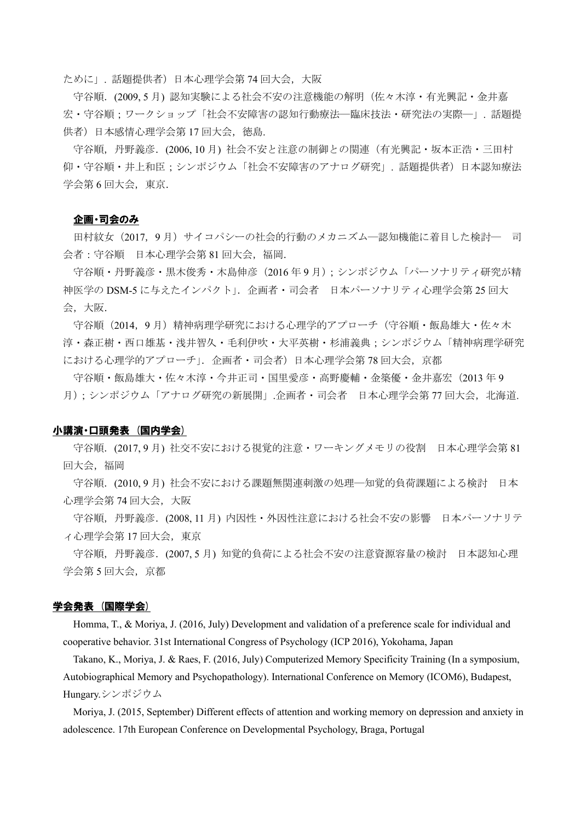ために」. 話題提供者)日本心理学会第 74 回大会,大阪

守谷順.(2009, 5 月) 認知実験による社会不安の注意機能の解明(佐々木淳・有光興記・金井嘉 宏·守谷順;ワークショップ「社会不安障害の認知行動療法―臨床技法·研究法の実際―」. 話題提 供者)日本感情心理学会第 17 回大会, 徳島.

守谷順,丹野義彦.(2006, 10 月) 社会不安と注意の制御との関連(有光興記・坂本正浩・三田村 仰・守谷順・井上和臣;シンポジウム「社会不安障害のアナログ研究」. 話題提供者)日本認知療法 学会第6回大会, 東京.

### 企画・司会のみ

田村紋女(2017,9 月)サイコパシーの社会的行動のメカニズム―認知機能に着目した検討― 司 会者:守谷順 日本心理学会第 81 回大会,福岡.

守谷順・丹野義彦・黒木俊秀・木島伸彦(2016 年 9 月);シンポジウム「パーソナリティ研究が精 神医学の DSM-5 に与えたインパクト」.企画者・司会者 日本パーソナリティ心理学会第 25 回大 会,大阪.

守谷順(2014,9月)精神病理学研究における心理学的アプローチ(守谷順・飯島雄大・佐々木 淳・森正樹・西口雄基・浅井智久・毛利伊吹・大平英樹・杉浦義典;シンポジウム「精神病理学研究 における心理学的アプローチ」. 企画者·司会者)日本心理学会第78回大会,京都

守谷順・飯島雄大・佐々木淳・今井正司・国里愛彦・高野慶輔・金築優・金井嘉宏(2013 年 9 月);シンポジウム「アナログ研究の新展開」.企画者·司会者 日本心理学会第77回大会,北海道.

#### 小講演・口頭発表 (国内学会)

守谷順.(2017, 9 月) 社交不安における視覚的注意・ワーキングメモリの役割 日本心理学会第 81 回大会,福岡

守谷順.(2010, 9 月) 社会不安における課題無関連刺激の処理―知覚的負荷課題による検討 日本 心理学会第 74 回大会,大阪

守谷順,丹野義彦. (2008.11月) 内因性・外因性注意における社会不安の影響 日本パーソナリテ ィ心理学会第 17 回大会,東京

守谷順,丹野義彦.(2007, 5 月) 知覚的負荷による社会不安の注意資源容量の検討 日本認知心理 学会第 5 回大会, 京都

## 学会発表 (国際学会)

Homma, T., & Moriya, J. (2016, July) Development and validation of a preference scale for individual and cooperative behavior. 31st International Congress of Psychology (ICP 2016), Yokohama, Japan

Takano, K., Moriya, J. & Raes, F. (2016, July) Computerized Memory Specificity Training (In a symposium, Autobiographical Memory and Psychopathology). International Conference on Memory (ICOM6), Budapest, Hungary.シンポジウム

Moriya, J. (2015, September) Different effects of attention and working memory on depression and anxiety in adolescence. 17th European Conference on Developmental Psychology, Braga, Portugal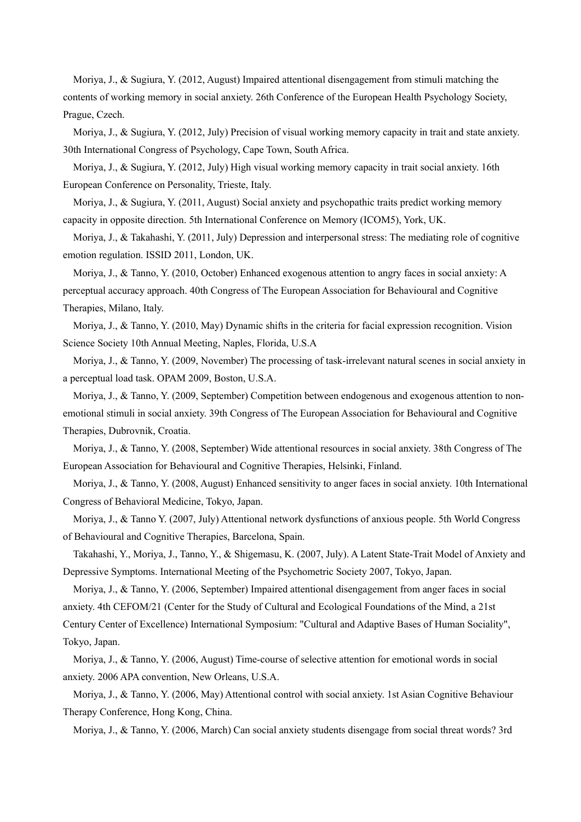Moriya, J., & Sugiura, Y. (2012, August) Impaired attentional disengagement from stimuli matching the contents of working memory in social anxiety. 26th Conference of the European Health Psychology Society, Prague, Czech.

Moriya, J., & Sugiura, Y. (2012, July) Precision of visual working memory capacity in trait and state anxiety. 30th International Congress of Psychology, Cape Town, South Africa.

Moriya, J., & Sugiura, Y. (2012, July) High visual working memory capacity in trait social anxiety. 16th European Conference on Personality, Trieste, Italy.

Moriya, J., & Sugiura, Y. (2011, August) Social anxiety and psychopathic traits predict working memory capacity in opposite direction. 5th International Conference on Memory (ICOM5), York, UK.

Moriya, J., & Takahashi, Y. (2011, July) Depression and interpersonal stress: The mediating role of cognitive emotion regulation. ISSID 2011, London, UK.

Moriya, J., & Tanno, Y. (2010, October) Enhanced exogenous attention to angry faces in social anxiety: A perceptual accuracy approach. 40th Congress of The European Association for Behavioural and Cognitive Therapies, Milano, Italy.

Moriya, J., & Tanno, Y. (2010, May) Dynamic shifts in the criteria for facial expression recognition. Vision Science Society 10th Annual Meeting, Naples, Florida, U.S.A

Moriya, J., & Tanno, Y. (2009, November) The processing of task-irrelevant natural scenes in social anxiety in a perceptual load task. OPAM 2009, Boston, U.S.A.

Moriya, J., & Tanno, Y. (2009, September) Competition between endogenous and exogenous attention to nonemotional stimuli in social anxiety. 39th Congress of The European Association for Behavioural and Cognitive Therapies, Dubrovnik, Croatia.

Moriya, J., & Tanno, Y. (2008, September) Wide attentional resources in social anxiety. 38th Congress of The European Association for Behavioural and Cognitive Therapies, Helsinki, Finland.

Moriya, J., & Tanno, Y. (2008, August) Enhanced sensitivity to anger faces in social anxiety. 10th International Congress of Behavioral Medicine, Tokyo, Japan.

Moriya, J., & Tanno Y. (2007, July) Attentional network dysfunctions of anxious people. 5th World Congress of Behavioural and Cognitive Therapies, Barcelona, Spain.

Takahashi, Y., Moriya, J., Tanno, Y., & Shigemasu, K. (2007, July). A Latent State-Trait Model of Anxiety and Depressive Symptoms. International Meeting of the Psychometric Society 2007, Tokyo, Japan.

Moriya, J., & Tanno, Y. (2006, September) Impaired attentional disengagement from anger faces in social anxiety. 4th CEFOM/21 (Center for the Study of Cultural and Ecological Foundations of the Mind, a 21st

Century Center of Excellence) International Symposium: "Cultural and Adaptive Bases of Human Sociality", Tokyo, Japan.

Moriya, J., & Tanno, Y. (2006, August) Time-course of selective attention for emotional words in social anxiety. 2006 APA convention, New Orleans, U.S.A.

Moriya, J., & Tanno, Y. (2006, May) Attentional control with social anxiety. 1st Asian Cognitive Behaviour Therapy Conference, Hong Kong, China.

Moriya, J., & Tanno, Y. (2006, March) Can social anxiety students disengage from social threat words? 3rd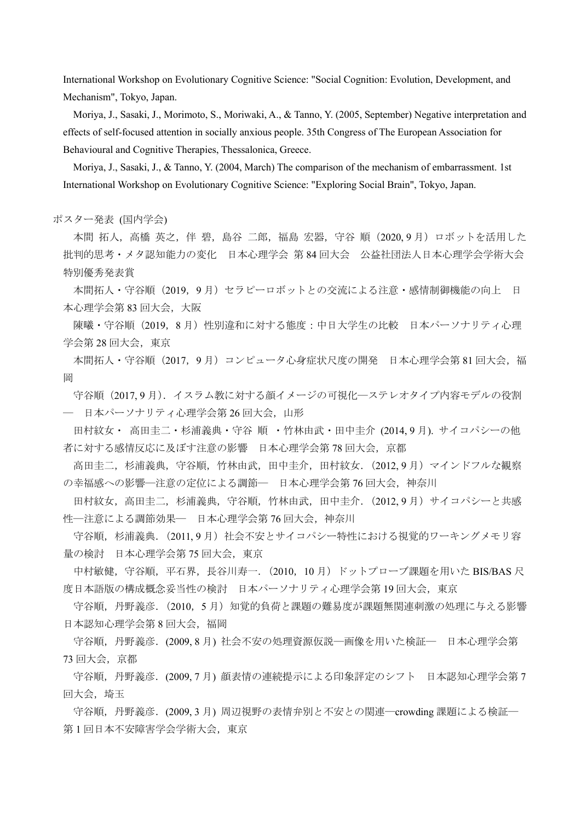International Workshop on Evolutionary Cognitive Science: "Social Cognition: Evolution, Development, and Mechanism", Tokyo, Japan.

Moriya, J., Sasaki, J., Morimoto, S., Moriwaki, A., & Tanno, Y. (2005, September) Negative interpretation and effects of self-focused attention in socially anxious people. 35th Congress of The European Association for Behavioural and Cognitive Therapies, Thessalonica, Greece.

Moriya, J., Sasaki, J., & Tanno, Y. (2004, March) The comparison of the mechanism of embarrassment. 1st International Workshop on Evolutionary Cognitive Science: "Exploring Social Brain", Tokyo, Japan.

ポスター発表 (国内学会)

本間 拓人, 高橋 英之, 伴 碧, 島谷 二郎, 福島 宏器, 守谷 順 (2020, 9 月) ロボットを活用した 批判的思考・メタ認知能力の変化 日本心理学会 第 84 回大会 公益社団法人日本心理学会学術大会 特別優秀発表賞

本間拓人・守谷順(2019,9 月)セラピーロボットとの交流による注意・感情制御機能の向上 日 本心理学会第 83 回大会,大阪

陳曦・守谷順(2019,8月)性別違和に対する態度:中日大学生の比較 日本パーソナリティ心理 学会第 28 回大会, 東京

本間拓人・守谷順 (2017, 9月) コンピュータ心身症状尺度の開発 日本心理学会第 81 回大会,福 岡

守谷順(2017, 9 月).イスラム教に対する顔イメージの可視化―ステレオタイプ内容モデルの役割 ― 日本パーソナリティ心理学会第 26 回大会,山形

田村紋女・ 高田圭二・杉浦義典・守谷 順 ・竹林由武・田中圭介 (2014, 9 月). サイコパシーの他 者に対する感情反応に及ぼす注意の影響 日本心理学会第 78 回大会,京都

高田圭二,杉浦義典,守谷順,竹林由武,田中圭介,田村紋女.(2012, 9 月)マインドフルな観察 の幸福感への影響―注意の定位による調節― 日本心理学会第76回大会,神奈川

田村紋女, 高田圭二, 杉浦義典, 守谷順, 竹林由武, 田中圭介. (2012, 9 月) サイコパシーと共感 性––注意による調節効果–– 日本心理学会第76回大会,神奈川

守谷順,杉浦義典. (2011,9月)社会不安とサイコパシー特性における視覚的ワーキングメモリ容 量の検討 日本心理学会第75回大会, 東京

中村敏健,守谷順,平石界,長谷川寿一. (2010, 10月)ドットプローブ課題を用いた BIS/BAS 尺 度日本語版の構成概念妥当性の検討 日本パーソナリティ心理学会第 19 回大会,東京

守谷順,丹野義彦. (2010,5月)知覚的負荷と課題の難易度が課題無関連刺激の処理に与える影響 日本認知心理学会第 8 回大会,福岡

守谷順,丹野義彦.(2009, 8 月) 社会不安の処理資源仮説―画像を用いた検証― 日本心理学会第 73 回大会,京都

守谷順,丹野義彦.(2009, 7 月) 顔表情の連続提示による印象評定のシフト 日本認知心理学会第 7 回大会, 埼玉

守谷順,丹野義彦.(2009, 3 月) 周辺視野の表情弁別と不安との関連―crowding 課題による検証― 第1回日本不安障害学会学術大会, 東京